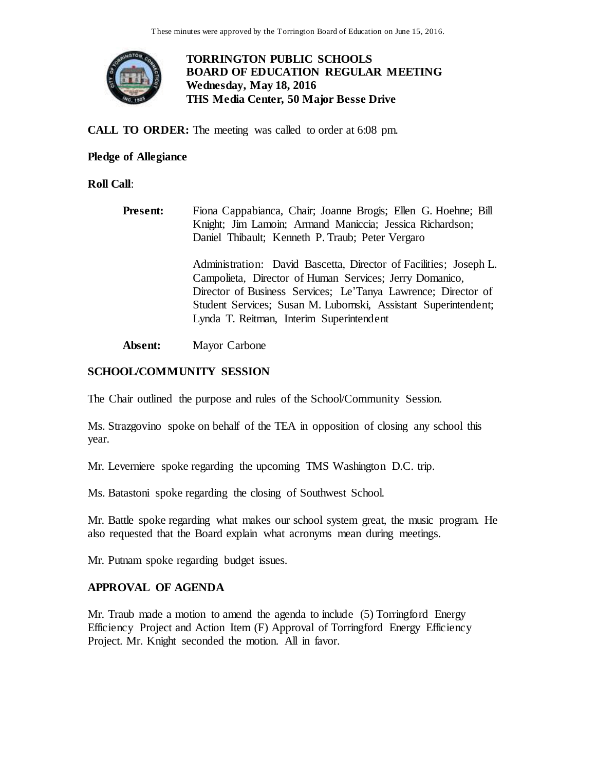

# **TORRINGTON PUBLIC SCHOOLS BOARD OF EDUCATION REGULAR MEETING Wednesday, May 18, 2016 THS Media Center, 50 Major Besse Drive**

**CALL TO ORDER:** The meeting was called to order at 6:08 pm.

# **Pledge of Allegiance**

**Roll Call**:

**Present:** Fiona Cappabianca, Chair; Joanne Brogis; Ellen G. Hoehne; Bill Knight; Jim Lamoin; Armand Maniccia; Jessica Richardson; Daniel Thibault; Kenneth P. Traub; Peter Vergaro

> Administration: David Bascetta, Director of Facilities; Joseph L. Campolieta, Director of Human Services; Jerry Domanico, Director of Business Services; Le'Tanya Lawrence; Director of Student Services; Susan M. Lubomski, Assistant Superintendent; Lynda T. Reitman, Interim Superintendent

**Absent:** Mayor Carbone

# **SCHOOL/COMMUNITY SESSION**

The Chair outlined the purpose and rules of the School/Community Session.

Ms. Strazgovino spoke on behalf of the TEA in opposition of closing any school this year.

Mr. Leverniere spoke regarding the upcoming TMS Washington D.C. trip.

Ms. Batastoni spoke regarding the closing of Southwest School.

Mr. Battle spoke regarding what makes our school system great, the music program. He also requested that the Board explain what acronyms mean during meetings.

Mr. Putnam spoke regarding budget issues.

# **APPROVAL OF AGENDA**

Mr. Traub made a motion to amend the agenda to include (5) Torringford Energy Efficiency Project and Action Item (F) Approval of Torringford Energy Efficiency Project. Mr. Knight seconded the motion. All in favor.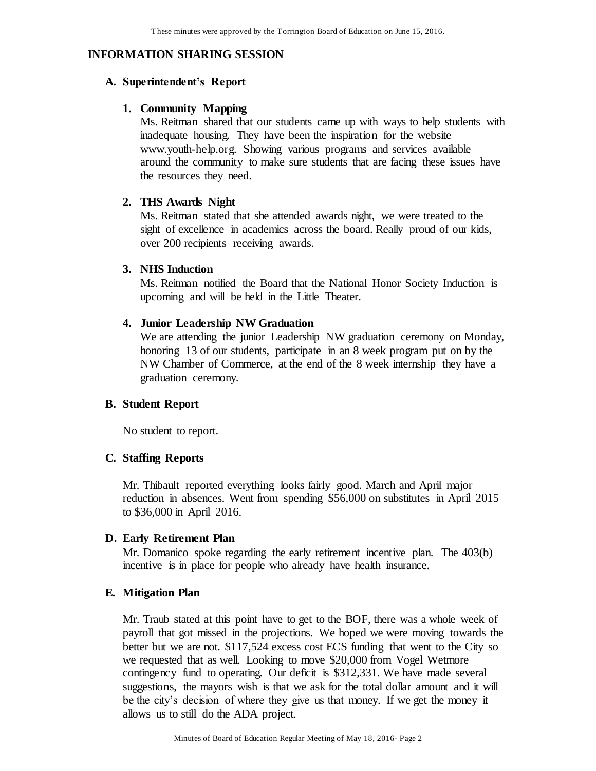# **INFORMATION SHARING SESSION**

#### **A. Superintendent's Report**

#### **1. Community Mapping**

Ms. Reitman shared that our students came up with ways to help students with inadequate housing. They have been the inspiration for the website www.youth-help.org. Showing various programs and services available around the community to make sure students that are facing these issues have the resources they need.

## **2. THS Awards Night**

Ms. Reitman stated that she attended awards night, we were treated to the sight of excellence in academics across the board. Really proud of our kids, over 200 recipients receiving awards.

## **3. NHS Induction**

Ms. Reitman notified the Board that the National Honor Society Induction is upcoming and will be held in the Little Theater.

#### **4. Junior Leadership NW Graduation**

We are attending the junior Leadership NW graduation ceremony on Monday, honoring 13 of our students, participate in an 8 week program put on by the NW Chamber of Commerce, at the end of the 8 week internship they have a graduation ceremony.

## **B. Student Report**

No student to report.

#### **C. Staffing Reports**

Mr. Thibault reported everything looks fairly good. March and April major reduction in absences. Went from spending \$56,000 on substitutes in April 2015 to \$36,000 in April 2016.

#### **D. Early Retirement Plan**

Mr. Domanico spoke regarding the early retirement incentive plan. The 403(b) incentive is in place for people who already have health insurance.

#### **E. Mitigation Plan**

Mr. Traub stated at this point have to get to the BOF, there was a whole week of payroll that got missed in the projections. We hoped we were moving towards the better but we are not. \$117,524 excess cost ECS funding that went to the City so we requested that as well. Looking to move \$20,000 from Vogel Wetmore contingency fund to operating. Our deficit is \$312,331. We have made several suggestions, the mayors wish is that we ask for the total dollar amount and it will be the city's decision of where they give us that money. If we get the money it allows us to still do the ADA project.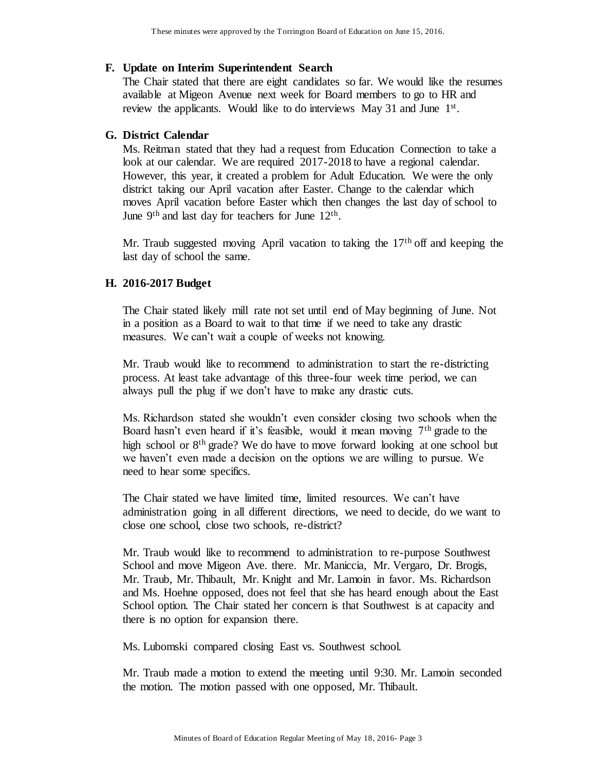#### **F. Update on Interim Superintendent Search**

The Chair stated that there are eight candidates so far. We would like the resumes available at Migeon Avenue next week for Board members to go to HR and review the applicants. Would like to do interviews May 31 and June 1<sup>st</sup>.

## **G. District Calendar**

Ms. Reitman stated that they had a request from Education Connection to take a look at our calendar. We are required 2017-2018 to have a regional calendar. However, this year, it created a problem for Adult Education. We were the only district taking our April vacation after Easter. Change to the calendar which moves April vacation before Easter which then changes the last day of school to June  $9<sup>th</sup>$  and last day for teachers for June  $12<sup>th</sup>$ .

Mr. Traub suggested moving April vacation to taking the  $17<sup>th</sup>$  off and keeping the last day of school the same.

## **H. 2016-2017 Budget**

The Chair stated likely mill rate not set until end of May beginning of June. Not in a position as a Board to wait to that time if we need to take any drastic measures. We can't wait a couple of weeks not knowing.

Mr. Traub would like to recommend to administration to start the re-districting process. At least take advantage of this three-four week time period, we can always pull the plug if we don't have to make any drastic cuts.

Ms. Richardson stated she wouldn't even consider closing two schools when the Board hasn't even heard if it's feasible, would it mean moving  $7<sup>th</sup>$  grade to the high school or  $8<sup>th</sup>$  grade? We do have to move forward looking at one school but we haven't even made a decision on the options we are willing to pursue. We need to hear some specifics.

The Chair stated we have limited time, limited resources. We can't have administration going in all different directions, we need to decide, do we want to close one school, close two schools, re-district?

Mr. Traub would like to recommend to administration to re-purpose Southwest School and move Migeon Ave. there. Mr. Maniccia, Mr. Vergaro, Dr. Brogis, Mr. Traub, Mr. Thibault, Mr. Knight and Mr. Lamoin in favor. Ms. Richardson and Ms. Hoehne opposed, does not feel that she has heard enough about the East School option. The Chair stated her concern is that Southwest is at capacity and there is no option for expansion there.

Ms. Lubomski compared closing East vs. Southwest school.

Mr. Traub made a motion to extend the meeting until 9:30. Mr. Lamoin seconded the motion. The motion passed with one opposed, Mr. Thibault.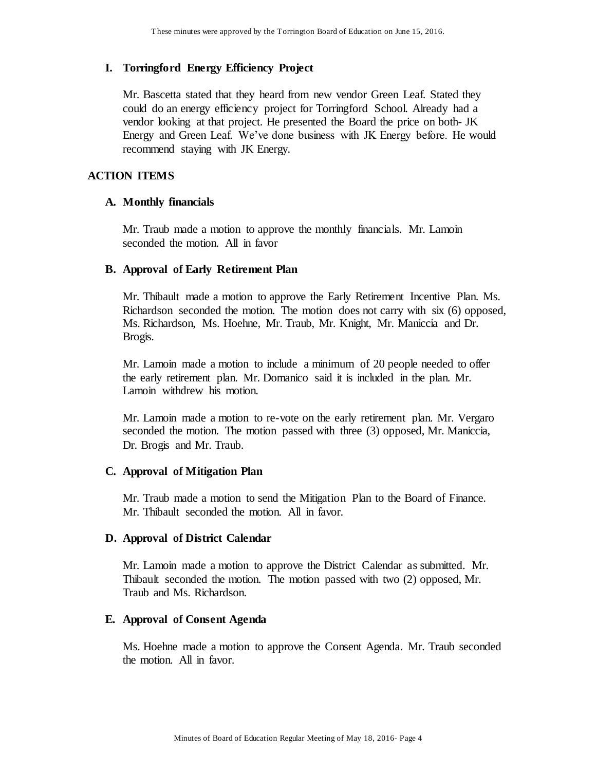# **I. Torringford Energy Efficiency Project**

Mr. Bascetta stated that they heard from new vendor Green Leaf. Stated they could do an energy efficiency project for Torringford School. Already had a vendor looking at that project. He presented the Board the price on both- JK Energy and Green Leaf. We've done business with JK Energy before. He would recommend staying with JK Energy.

## **ACTION ITEMS**

## **A. Monthly financials**

Mr. Traub made a motion to approve the monthly financials. Mr. Lamoin seconded the motion. All in favor

## **B. Approval of Early Retirement Plan**

Mr. Thibault made a motion to approve the Early Retirement Incentive Plan. Ms. Richardson seconded the motion. The motion does not carry with six (6) opposed, Ms. Richardson, Ms. Hoehne, Mr. Traub, Mr. Knight, Mr. Maniccia and Dr. Brogis.

Mr. Lamoin made a motion to include a minimum of 20 people needed to offer the early retirement plan. Mr. Domanico said it is included in the plan. Mr. Lamoin withdrew his motion.

Mr. Lamoin made a motion to re-vote on the early retirement plan. Mr. Vergaro seconded the motion. The motion passed with three (3) opposed, Mr. Maniccia, Dr. Brogis and Mr. Traub.

## **C. Approval of Mitigation Plan**

Mr. Traub made a motion to send the Mitigation Plan to the Board of Finance. Mr. Thibault seconded the motion. All in favor.

## **D. Approval of District Calendar**

Mr. Lamoin made a motion to approve the District Calendar as submitted. Mr. Thibault seconded the motion. The motion passed with two (2) opposed, Mr. Traub and Ms. Richardson.

## **E. Approval of Consent Agenda**

Ms. Hoehne made a motion to approve the Consent Agenda. Mr. Traub seconded the motion. All in favor.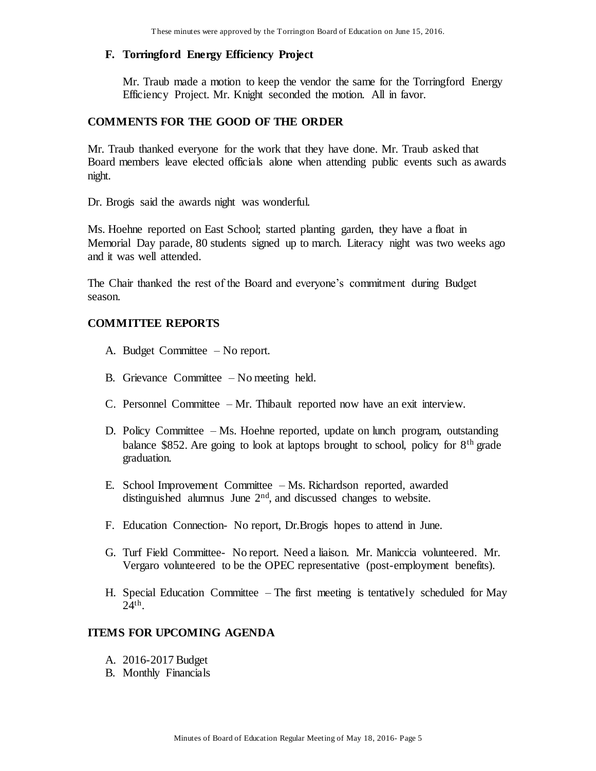# **F. Torringford Energy Efficiency Project**

Mr. Traub made a motion to keep the vendor the same for the Torringford Energy Efficiency Project. Mr. Knight seconded the motion. All in favor.

## **COMMENTS FOR THE GOOD OF THE ORDER**

Mr. Traub thanked everyone for the work that they have done. Mr. Traub asked that Board members leave elected officials alone when attending public events such as awards night.

Dr. Brogis said the awards night was wonderful.

Ms. Hoehne reported on East School; started planting garden, they have a float in Memorial Day parade, 80 students signed up to march. Literacy night was two weeks ago and it was well attended.

The Chair thanked the rest of the Board and everyone's commitment during Budget season.

# **COMMITTEE REPORTS**

- A. Budget Committee No report.
- B. Grievance Committee No meeting held.
- C. Personnel Committee Mr. Thibault reported now have an exit interview.
- D. Policy Committee Ms. Hoehne reported, update on lunch program, outstanding balance \$852. Are going to look at laptops brought to school, policy for  $8<sup>th</sup>$  grade graduation.
- E. School Improvement Committee Ms. Richardson reported, awarded distinguished alumnus June 2<sup>nd</sup>, and discussed changes to website.
- F. Education Connection- No report, Dr.Brogis hopes to attend in June.
- G. Turf Field Committee- No report. Need a liaison. Mr. Maniccia volunteered. Mr. Vergaro volunteered to be the OPEC representative (post-employment benefits).
- H. Special Education Committee The first meeting is tentatively scheduled for May 24th .

## **ITEMS FOR UPCOMING AGENDA**

- A. 2016-2017 Budget
- B. Monthly Financials